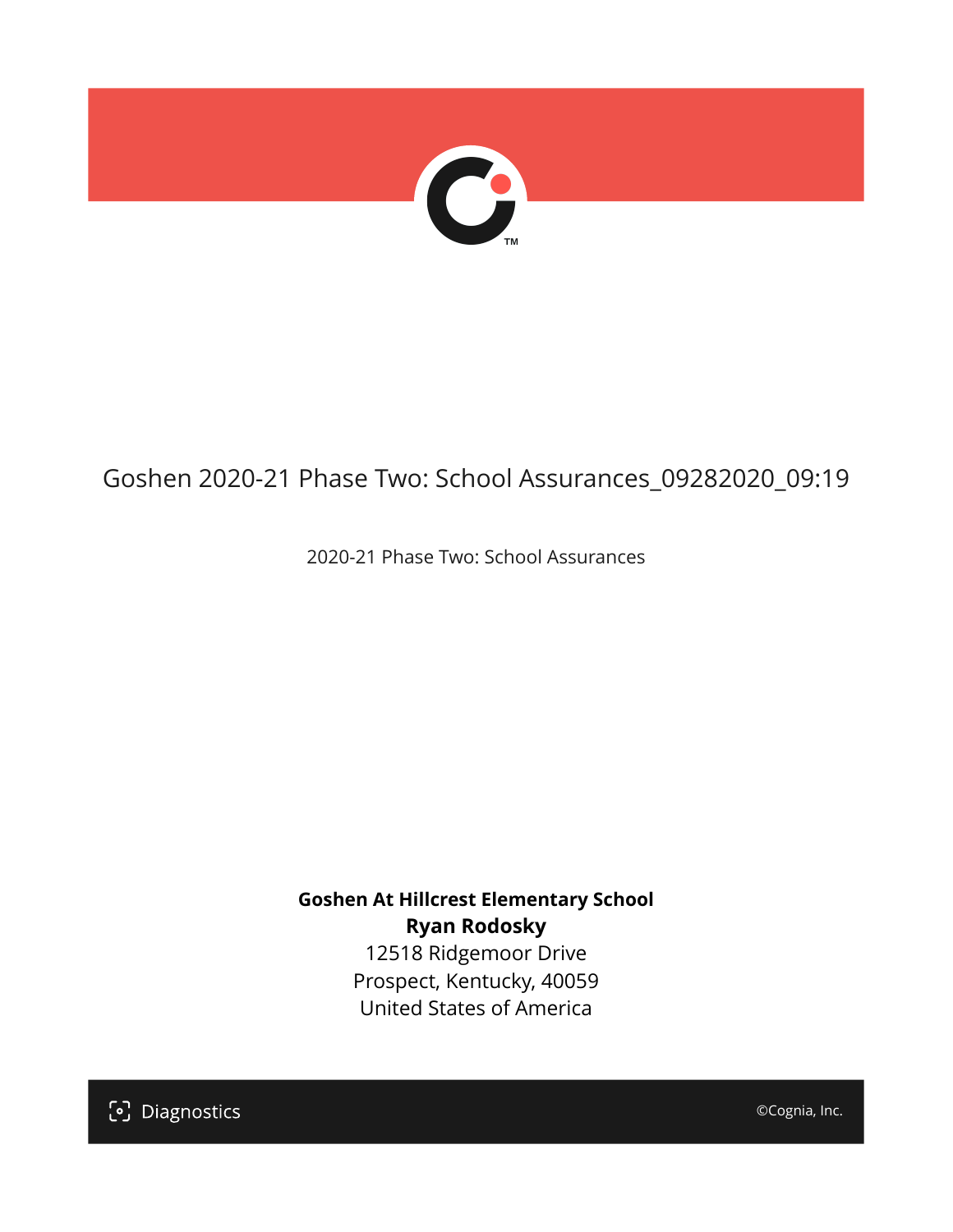

# Goshen 2020-21 Phase Two: School Assurances\_09282020\_09:19

2020-21 Phase Two: School Assurances

**Goshen At Hillcrest Elementary School Ryan Rodosky** 12518 Ridgemoor Drive Prospect, Kentucky, 40059 United States of America

[၁] Diagnostics

©Cognia, Inc.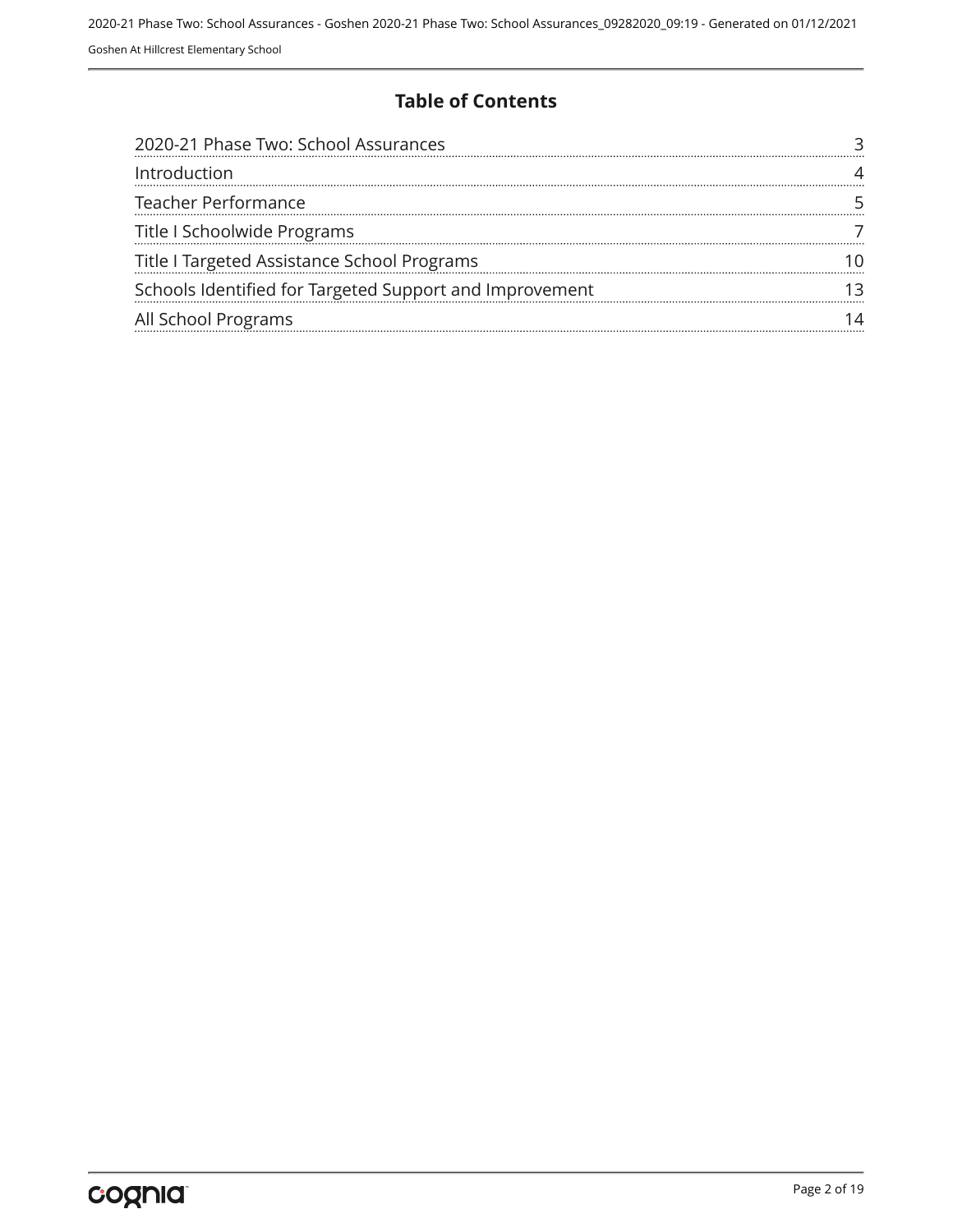#### **Table of Contents**

| 2020-21 Phase Two: School Assurances                    |  |
|---------------------------------------------------------|--|
| Introduction                                            |  |
| <b>Teacher Performance</b>                              |  |
| Title I Schoolwide Programs                             |  |
| Title I Targeted Assistance School Programs             |  |
| Schools Identified for Targeted Support and Improvement |  |
| All School Programs                                     |  |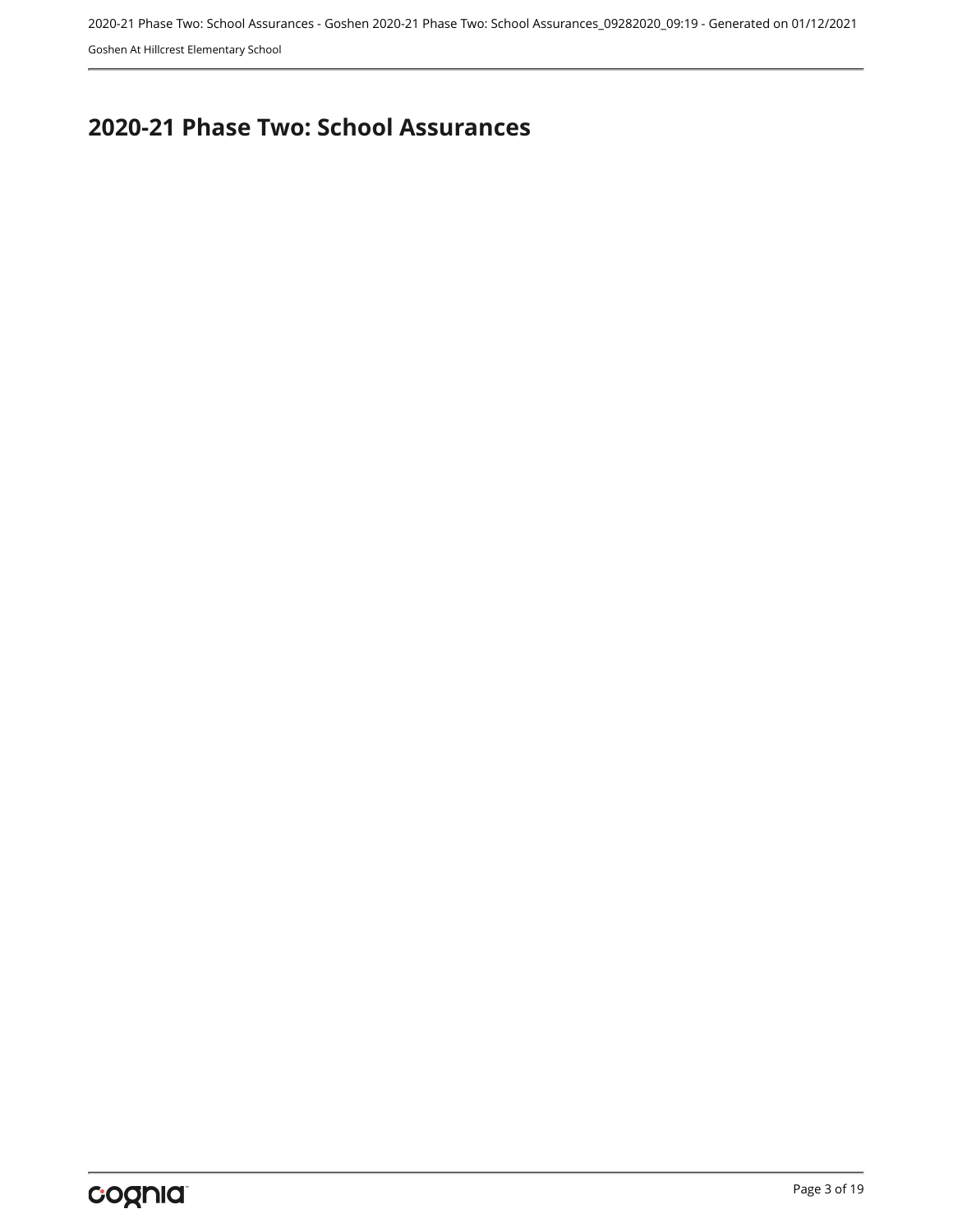2020-21 Phase Two: School Assurances - Goshen 2020-21 Phase Two: School Assurances\_09282020\_09:19 - Generated on 01/12/2021

Goshen At Hillcrest Elementary School

## <span id="page-2-0"></span>**2020-21 Phase Two: School Assurances**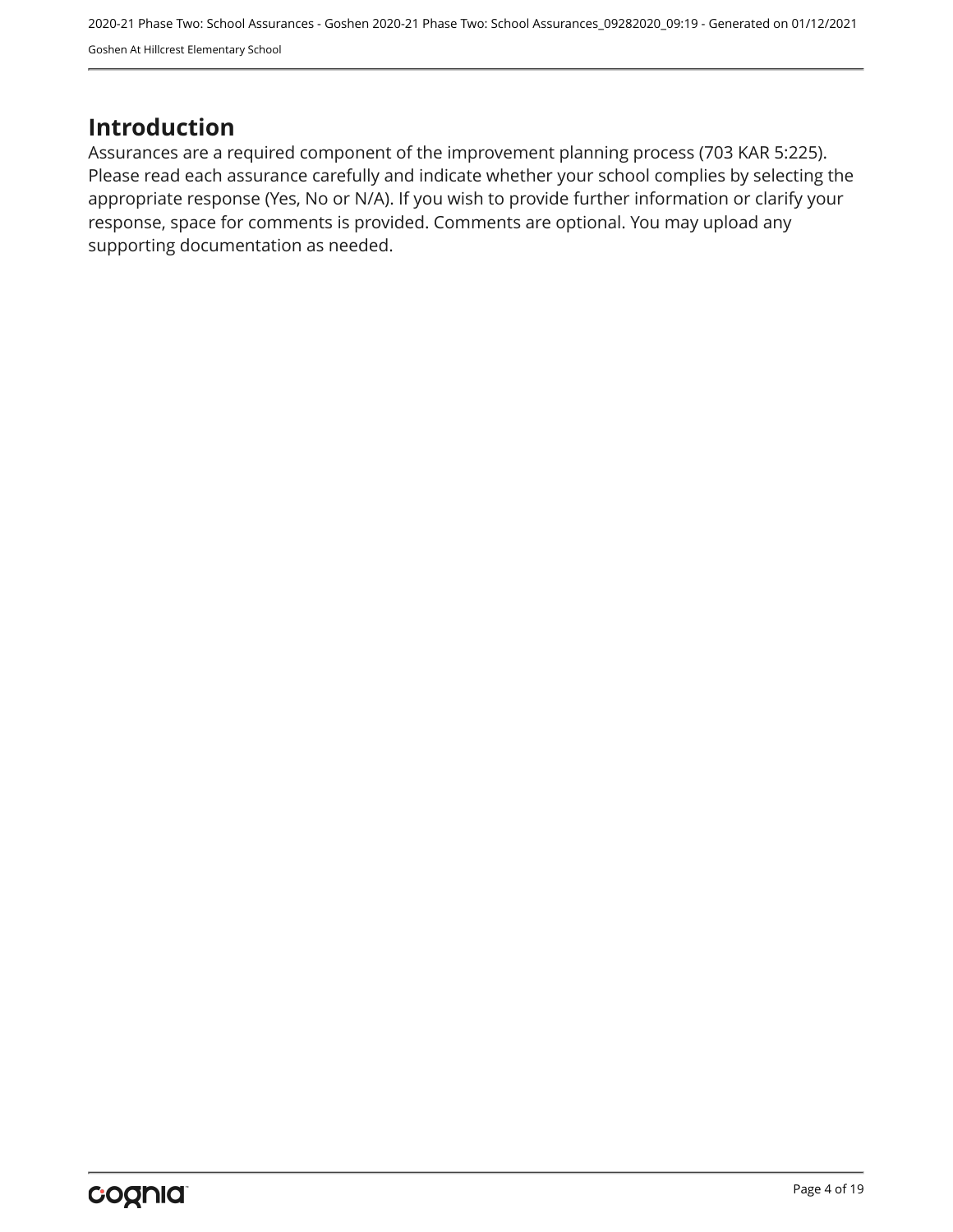## <span id="page-3-0"></span>**Introduction**

Assurances are a required component of the improvement planning process (703 KAR 5:225). Please read each assurance carefully and indicate whether your school complies by selecting the appropriate response (Yes, No or N/A). If you wish to provide further information or clarify your response, space for comments is provided. Comments are optional. You may upload any supporting documentation as needed.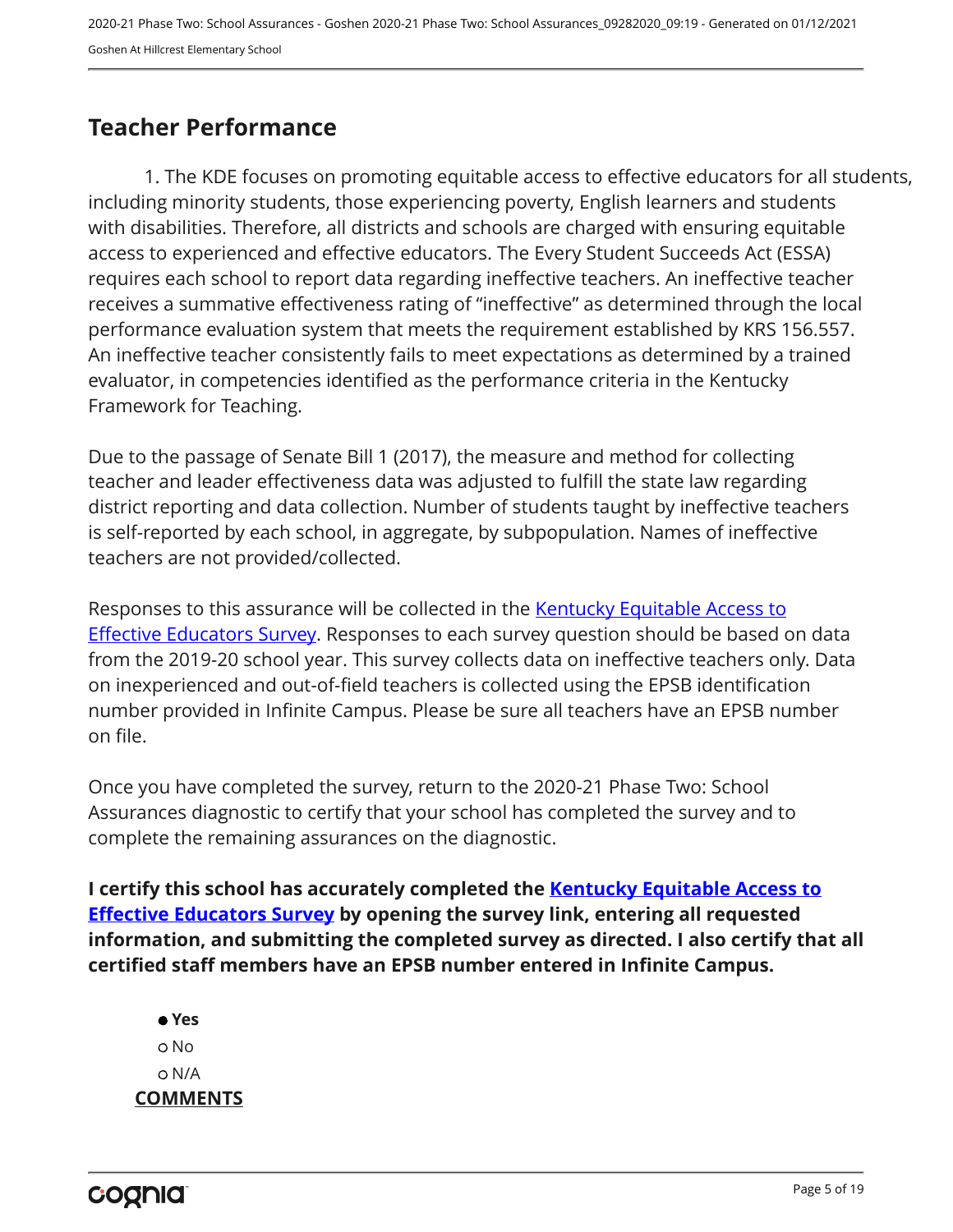## <span id="page-4-0"></span>**Teacher Performance**

1. The KDE focuses on promoting equitable access to effective educators for all students, including minority students, those experiencing poverty, English learners and students with disabilities. Therefore, all districts and schools are charged with ensuring equitable access to experienced and effective educators. The Every Student Succeeds Act (ESSA) requires each school to report data regarding ineffective teachers. An ineffective teacher receives a summative effectiveness rating of "ineffective" as determined through the local performance evaluation system that meets the requirement established by KRS 156.557. An ineffective teacher consistently fails to meet expectations as determined by a trained evaluator, in competencies identified as the performance criteria in the Kentucky Framework for Teaching.

Due to the passage of Senate Bill 1 (2017), the measure and method for collecting teacher and leader effectiveness data was adjusted to fulfill the state law regarding district reporting and data collection. Number of students taught by ineffective teachers is self-reported by each school, in aggregate, by subpopulation. Names of ineffective teachers are not provided/collected.

Responses to this assurance will be collected in the [Kentucky Equitable Access to](https://www.surveymonkey.com/r/PNPMCCV) **[Effective Educators Survey](https://www.surveymonkey.com/r/PNPMCCV).** Responses to each survey question should be based on data from the 2019-20 school year. This survey collects data on ineffective teachers only. Data on inexperienced and out-of-field teachers is collected using the EPSB identification number provided in Infinite Campus. Please be sure all teachers have an EPSB number on file.

Once you have completed the survey, return to the 2020-21 Phase Two: School Assurances diagnostic to certify that your school has completed the survey and to complete the remaining assurances on the diagnostic.

**I certify this school has accurately completed the [Kentucky Equitable Access to](https://www.surveymonkey.com/r/PNPMCCV) [Effective Educators Survey](https://www.surveymonkey.com/r/PNPMCCV) by opening the survey link, entering all requested information, and submitting the completed survey as directed. I also certify that all certified staff members have an EPSB number entered in Infinite Campus.**

 **Yes** No N/A **COMMENTS**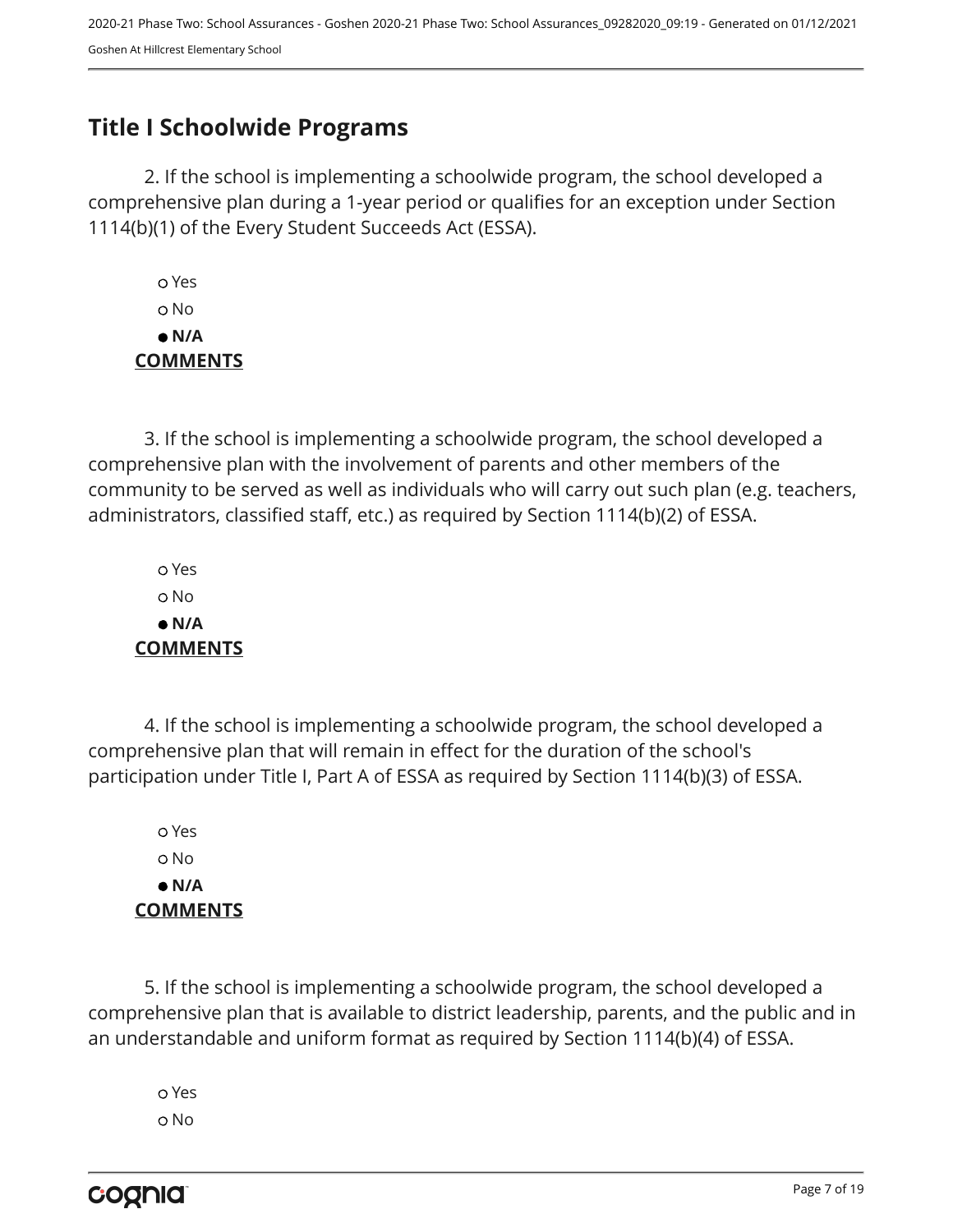## <span id="page-6-0"></span>**Title I Schoolwide Programs**

2. If the school is implementing a schoolwide program, the school developed a comprehensive plan during a 1-year period or qualifies for an exception under Section 1114(b)(1) of the Every Student Succeeds Act (ESSA).

 Yes No  **N/A COMMENTS**

3. If the school is implementing a schoolwide program, the school developed a comprehensive plan with the involvement of parents and other members of the community to be served as well as individuals who will carry out such plan (e.g. teachers, administrators, classified staff, etc.) as required by Section 1114(b)(2) of ESSA.

 Yes No  **N/A COMMENTS**

4. If the school is implementing a schoolwide program, the school developed a comprehensive plan that will remain in effect for the duration of the school's participation under Title I, Part A of ESSA as required by Section 1114(b)(3) of ESSA.

 Yes No  **N/A COMMENTS**

5. If the school is implementing a schoolwide program, the school developed a comprehensive plan that is available to district leadership, parents, and the public and in an understandable and uniform format as required by Section 1114(b)(4) of ESSA.

 Yes o No

cognia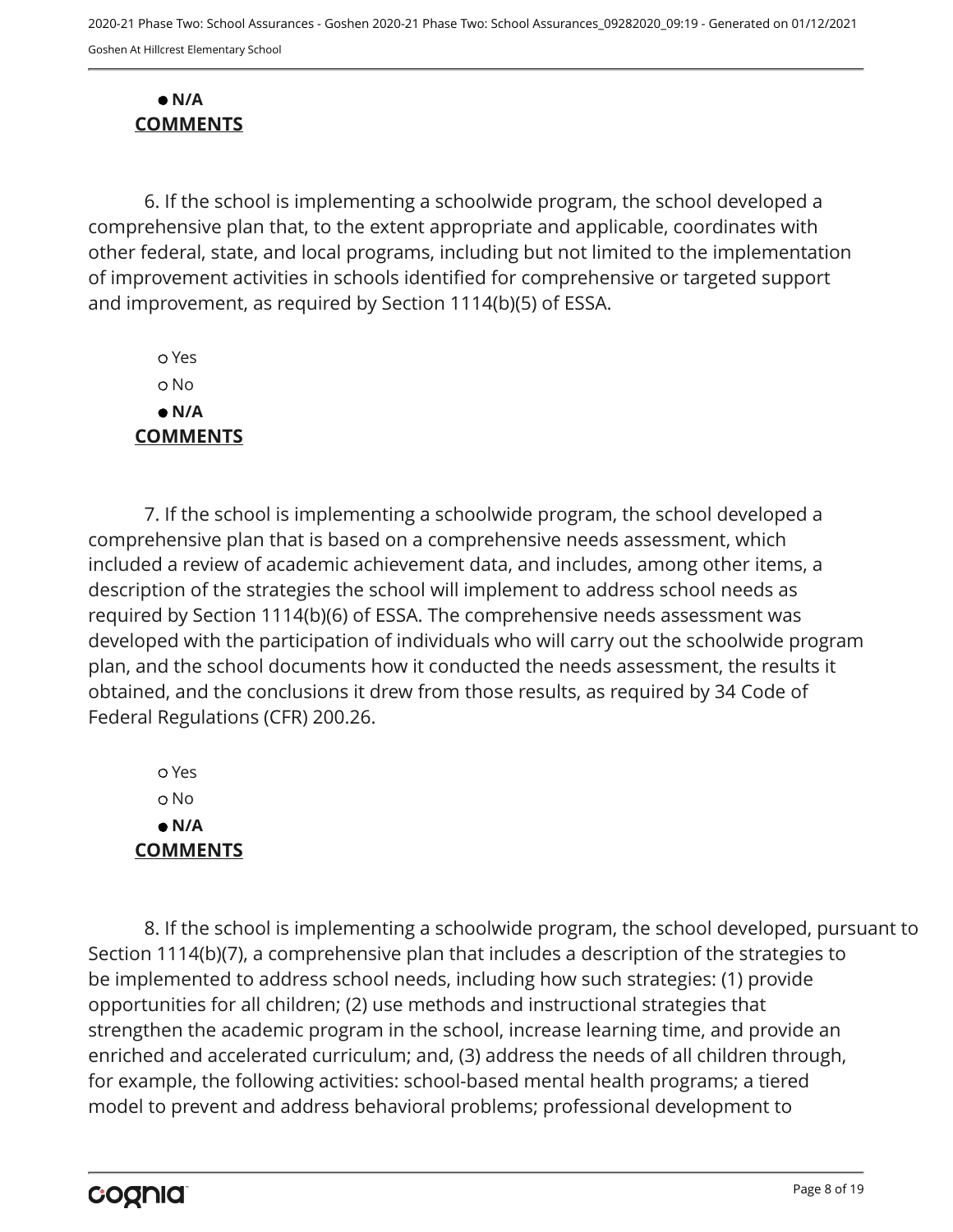#### **N/A COMMENTS**

6. If the school is implementing a schoolwide program, the school developed a comprehensive plan that, to the extent appropriate and applicable, coordinates with other federal, state, and local programs, including but not limited to the implementation of improvement activities in schools identified for comprehensive or targeted support and improvement, as required by Section 1114(b)(5) of ESSA.

 Yes o No  **N/A COMMENTS**

7. If the school is implementing a schoolwide program, the school developed a comprehensive plan that is based on a comprehensive needs assessment, which included a review of academic achievement data, and includes, among other items, a description of the strategies the school will implement to address school needs as required by Section 1114(b)(6) of ESSA. The comprehensive needs assessment was developed with the participation of individuals who will carry out the schoolwide program plan, and the school documents how it conducted the needs assessment, the results it obtained, and the conclusions it drew from those results, as required by 34 Code of Federal Regulations (CFR) 200.26.

 Yes o No  **N/A COMMENTS**

8. If the school is implementing a schoolwide program, the school developed, pursuant to Section 1114(b)(7), a comprehensive plan that includes a description of the strategies to be implemented to address school needs, including how such strategies: (1) provide opportunities for all children; (2) use methods and instructional strategies that strengthen the academic program in the school, increase learning time, and provide an enriched and accelerated curriculum; and, (3) address the needs of all children through, for example, the following activities: school-based mental health programs; a tiered model to prevent and address behavioral problems; professional development to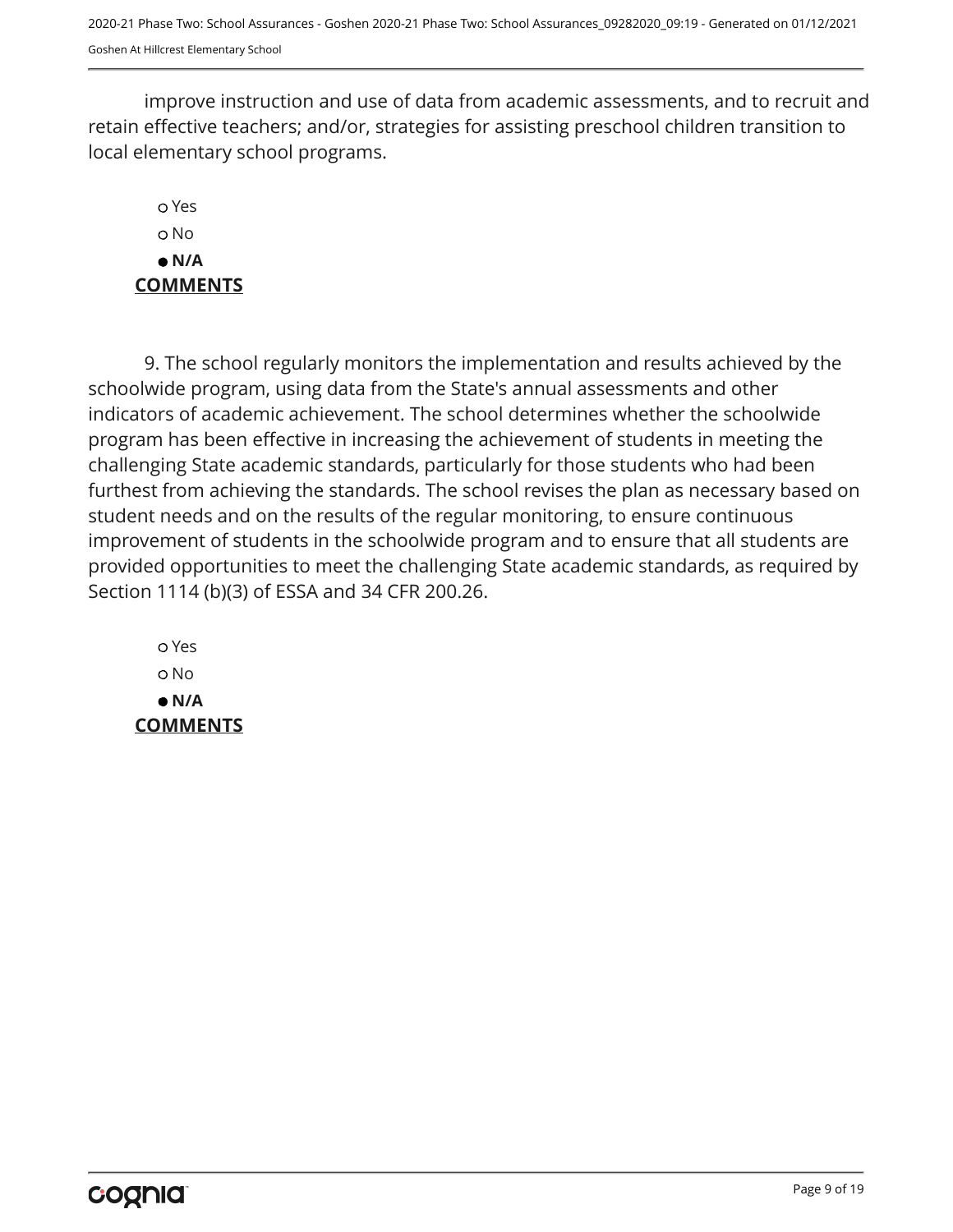improve instruction and use of data from academic assessments, and to recruit and retain effective teachers; and/or, strategies for assisting preschool children transition to local elementary school programs.

### Yes o No  **N/A COMMENTS**

9. The school regularly monitors the implementation and results achieved by the schoolwide program, using data from the State's annual assessments and other indicators of academic achievement. The school determines whether the schoolwide program has been effective in increasing the achievement of students in meeting the challenging State academic standards, particularly for those students who had been furthest from achieving the standards. The school revises the plan as necessary based on student needs and on the results of the regular monitoring, to ensure continuous improvement of students in the schoolwide program and to ensure that all students are provided opportunities to meet the challenging State academic standards, as required by Section 1114 (b)(3) of ESSA and 34 CFR 200.26.

 Yes o No  **N/A COMMENTS**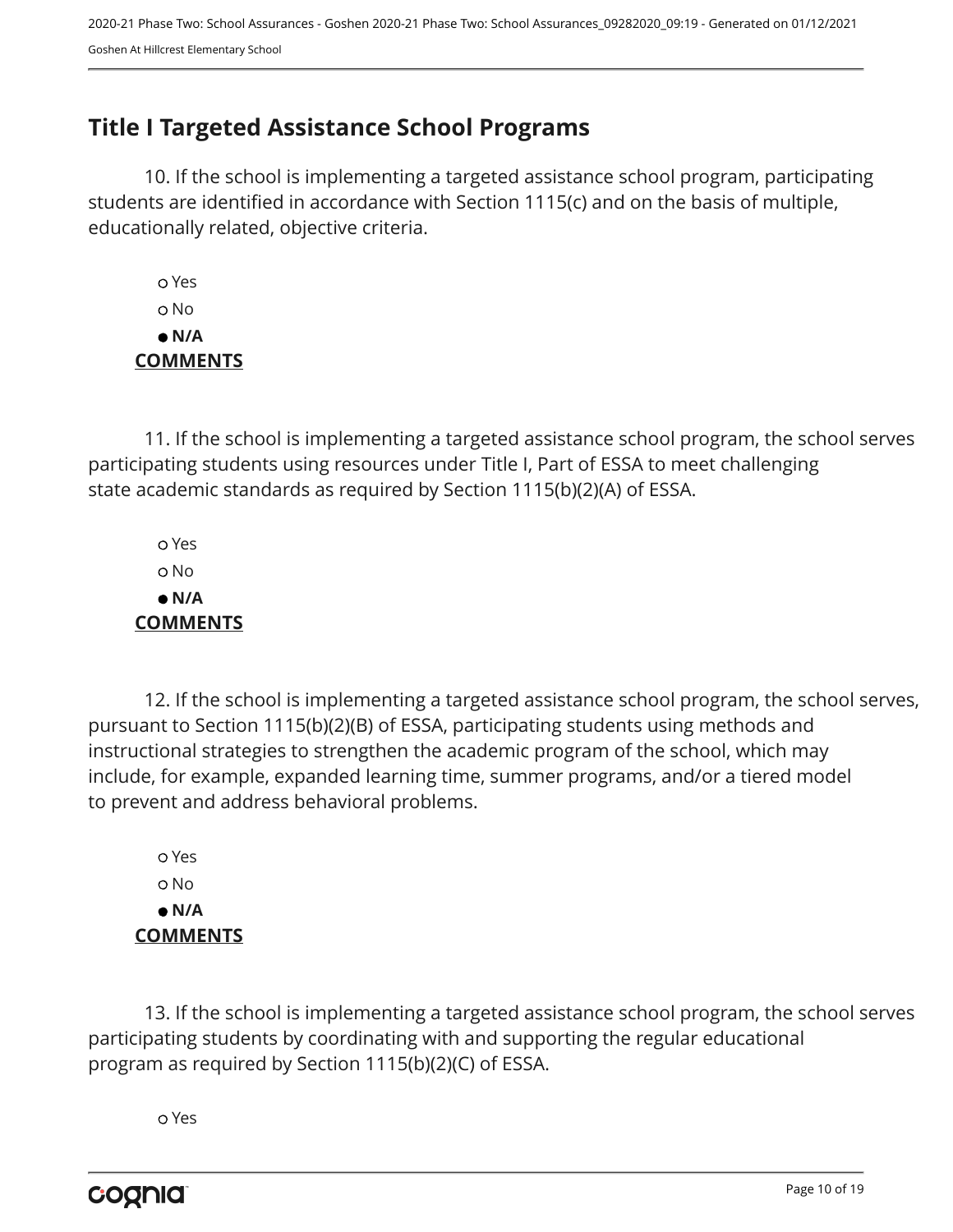## <span id="page-9-0"></span>**Title I Targeted Assistance School Programs**

10. If the school is implementing a targeted assistance school program, participating students are identified in accordance with Section 1115(c) and on the basis of multiple, educationally related, objective criteria.

 Yes o No  **N/A COMMENTS**

11. If the school is implementing a targeted assistance school program, the school serves participating students using resources under Title I, Part of ESSA to meet challenging state academic standards as required by Section 1115(b)(2)(A) of ESSA.

 Yes No  **N/A COMMENTS**

12. If the school is implementing a targeted assistance school program, the school serves, pursuant to Section 1115(b)(2)(B) of ESSA, participating students using methods and instructional strategies to strengthen the academic program of the school, which may include, for example, expanded learning time, summer programs, and/or a tiered model to prevent and address behavioral problems.

 Yes o No  **N/A COMMENTS**

13. If the school is implementing a targeted assistance school program, the school serves participating students by coordinating with and supporting the regular educational program as required by Section 1115(b)(2)(C) of ESSA.

Yes

cognia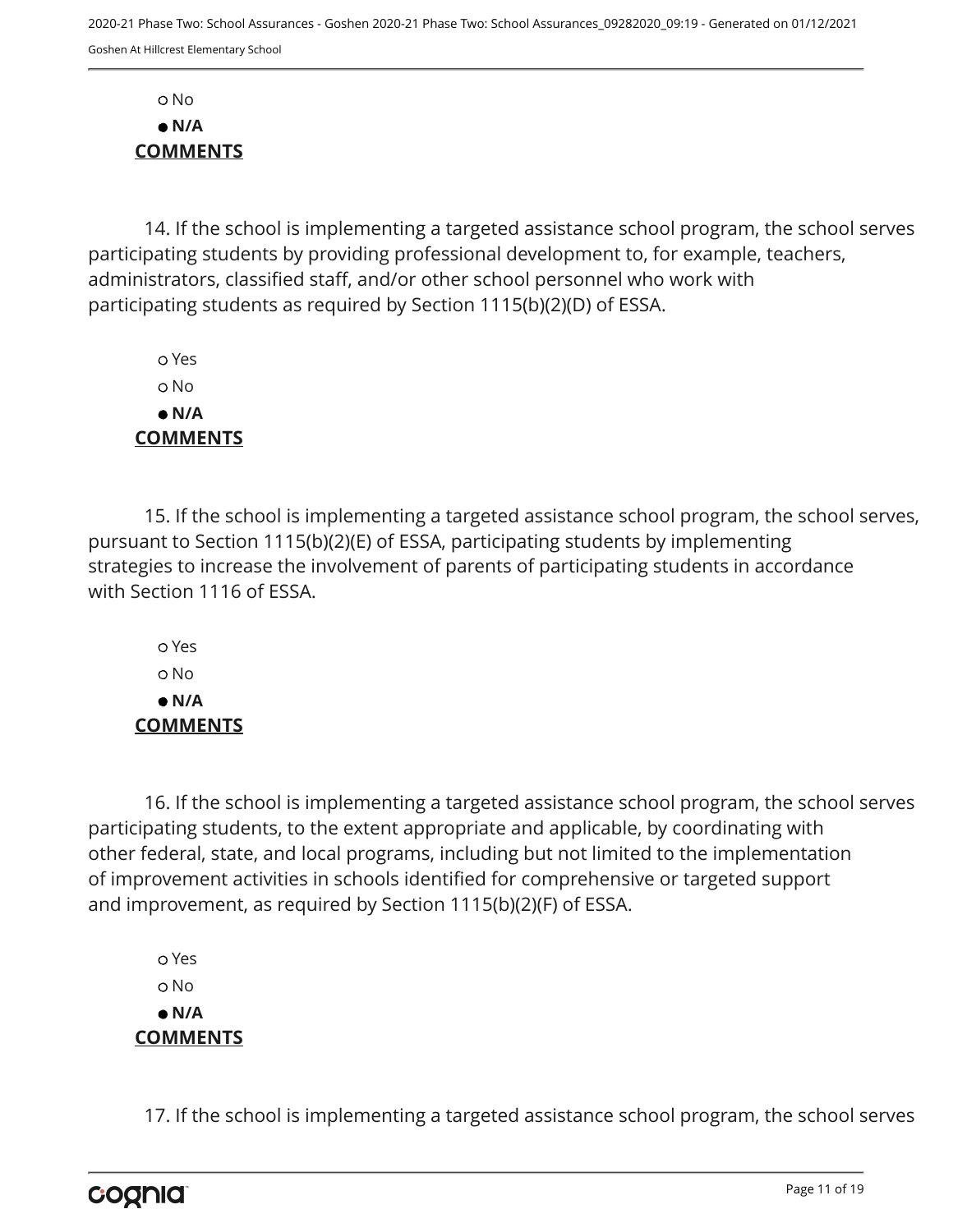No  **N/A COMMENTS**

14. If the school is implementing a targeted assistance school program, the school serves participating students by providing professional development to, for example, teachers, administrators, classified staff, and/or other school personnel who work with participating students as required by Section 1115(b)(2)(D) of ESSA.

 Yes o No  **N/A COMMENTS**

15. If the school is implementing a targeted assistance school program, the school serves, pursuant to Section 1115(b)(2)(E) of ESSA, participating students by implementing strategies to increase the involvement of parents of participating students in accordance with Section 1116 of ESSA.

 Yes o No  **N/A COMMENTS**

16. If the school is implementing a targeted assistance school program, the school serves participating students, to the extent appropriate and applicable, by coordinating with other federal, state, and local programs, including but not limited to the implementation of improvement activities in schools identified for comprehensive or targeted support and improvement, as required by Section 1115(b)(2)(F) of ESSA.

 Yes o No  **N/A COMMENTS**

17. If the school is implementing a targeted assistance school program, the school serves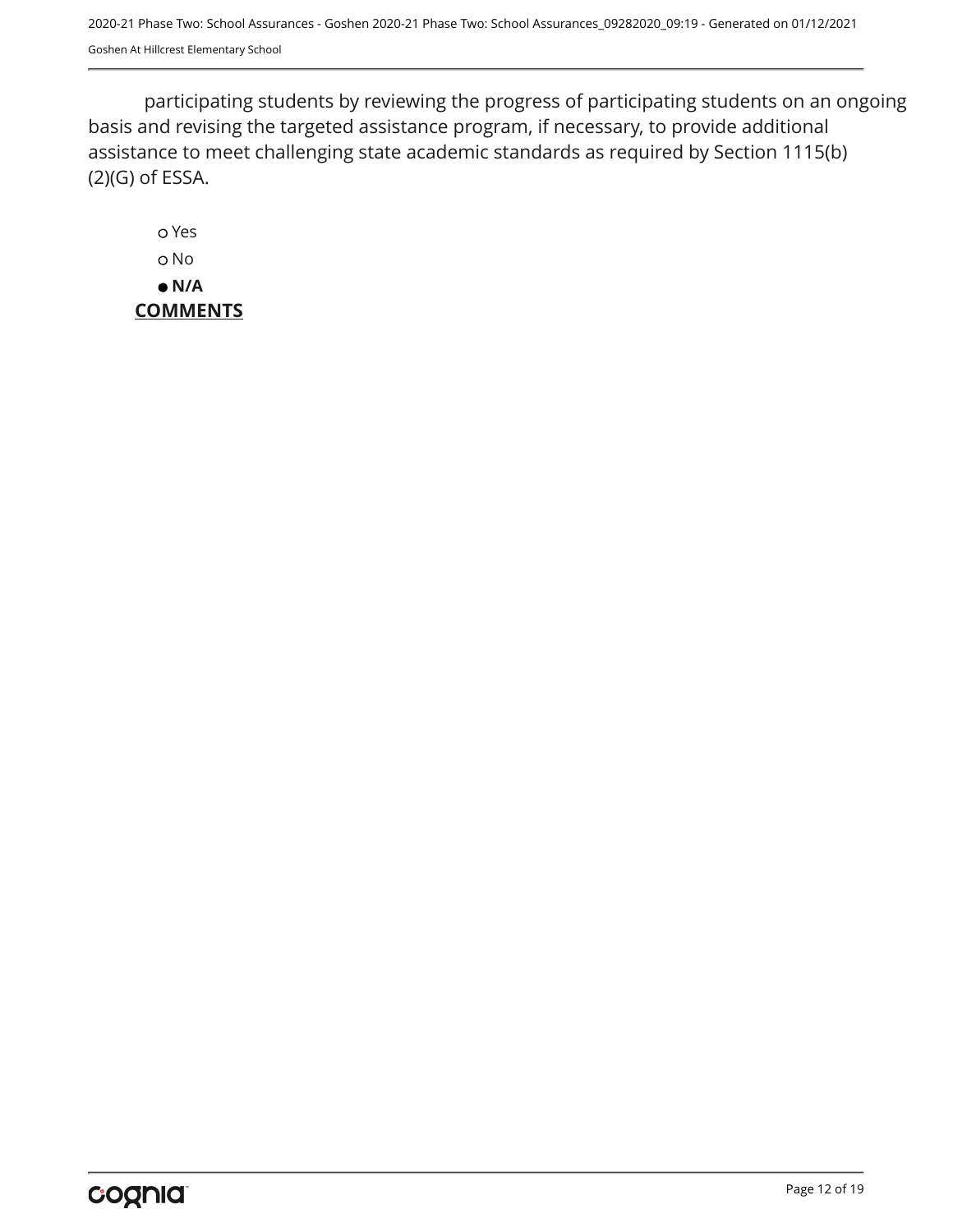participating students by reviewing the progress of participating students on an ongoing basis and revising the targeted assistance program, if necessary, to provide additional assistance to meet challenging state academic standards as required by Section 1115(b) (2)(G) of ESSA.

 Yes o No  **N/A COMMENTS**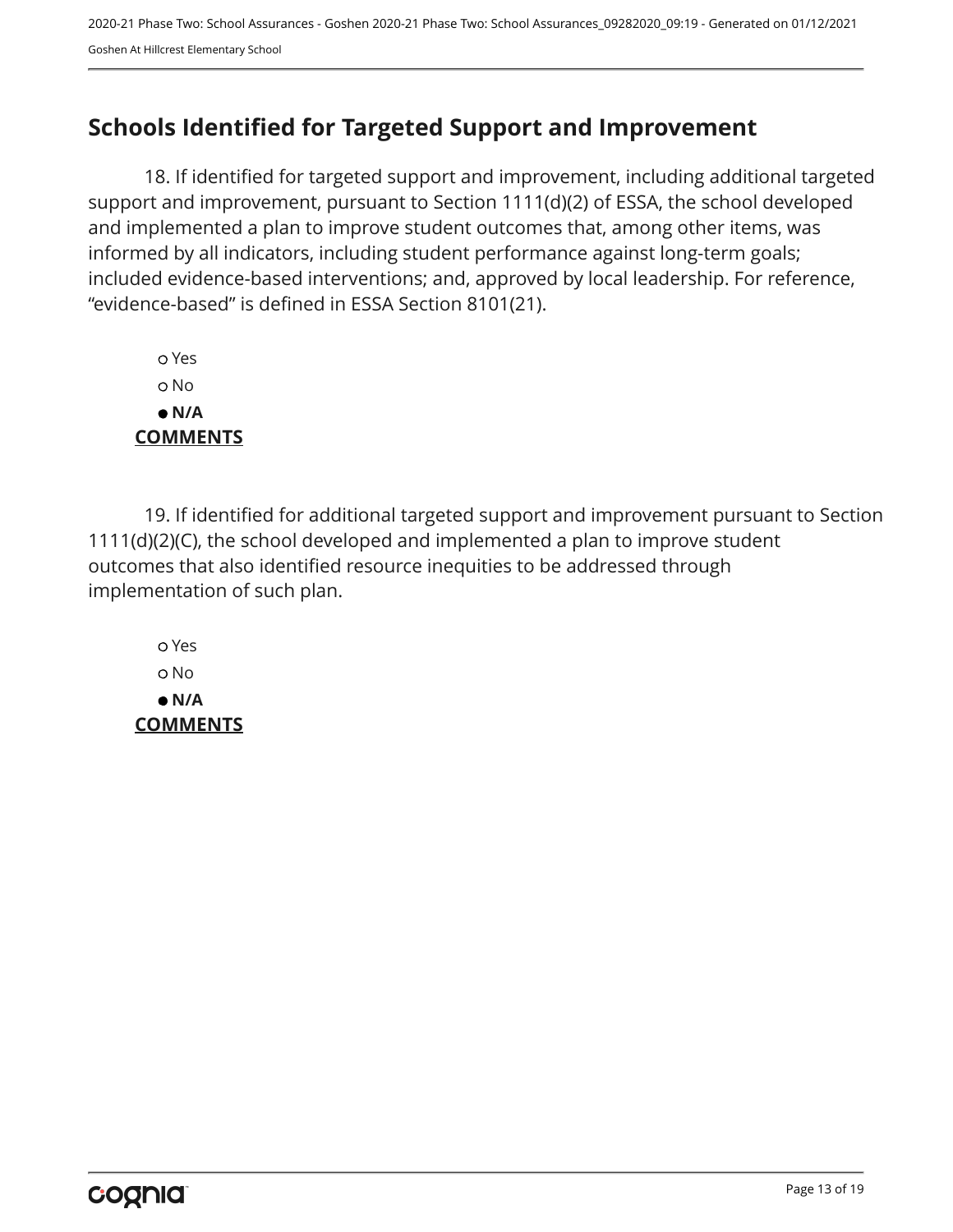## <span id="page-12-0"></span>**Schools Identified for Targeted Support and Improvement**

18. If identified for targeted support and improvement, including additional targeted support and improvement, pursuant to Section 1111(d)(2) of ESSA, the school developed and implemented a plan to improve student outcomes that, among other items, was informed by all indicators, including student performance against long-term goals; included evidence-based interventions; and, approved by local leadership. For reference, "evidence-based" is defined in ESSA Section 8101(21).

 Yes No  **N/A COMMENTS**

19. If identified for additional targeted support and improvement pursuant to Section 1111(d)(2)(C), the school developed and implemented a plan to improve student outcomes that also identified resource inequities to be addressed through implementation of such plan.

 Yes No  **N/A COMMENTS**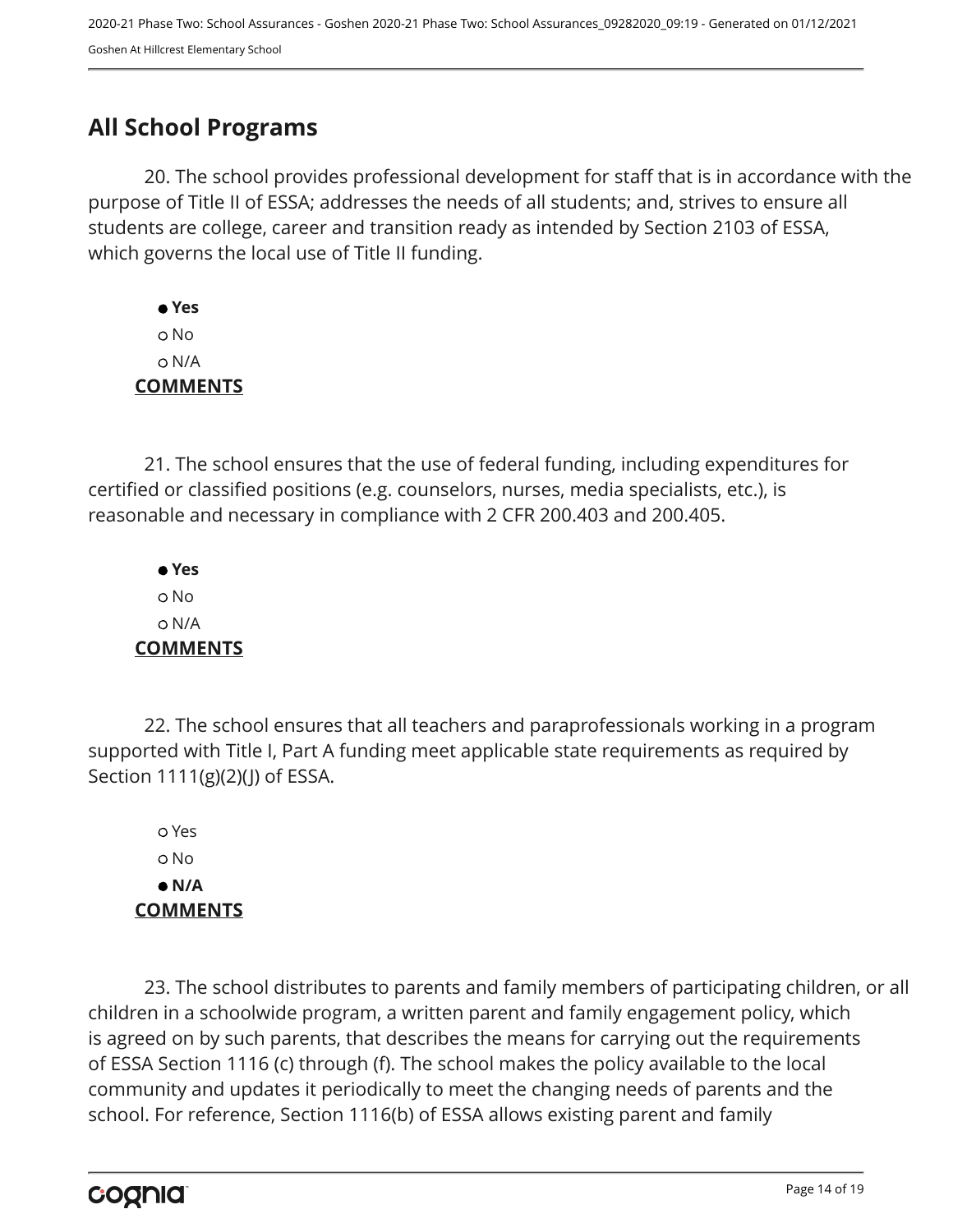## <span id="page-13-0"></span>**All School Programs**

20. The school provides professional development for staff that is in accordance with the purpose of Title II of ESSA; addresses the needs of all students; and, strives to ensure all students are college, career and transition ready as intended by Section 2103 of ESSA, which governs the local use of Title II funding.

 **Yes** No N/A **COMMENTS**

21. The school ensures that the use of federal funding, including expenditures for certified or classified positions (e.g. counselors, nurses, media specialists, etc.), is reasonable and necessary in compliance with 2 CFR 200.403 and 200.405.

 **Yes** No N/A **COMMENTS**

22. The school ensures that all teachers and paraprofessionals working in a program supported with Title I, Part A funding meet applicable state requirements as required by Section 1111(g)(2)(J) of ESSA.

 Yes No  **N/A COMMENTS**

23. The school distributes to parents and family members of participating children, or all children in a schoolwide program, a written parent and family engagement policy, which is agreed on by such parents, that describes the means for carrying out the requirements of ESSA Section 1116 (c) through (f). The school makes the policy available to the local community and updates it periodically to meet the changing needs of parents and the school. For reference, Section 1116(b) of ESSA allows existing parent and family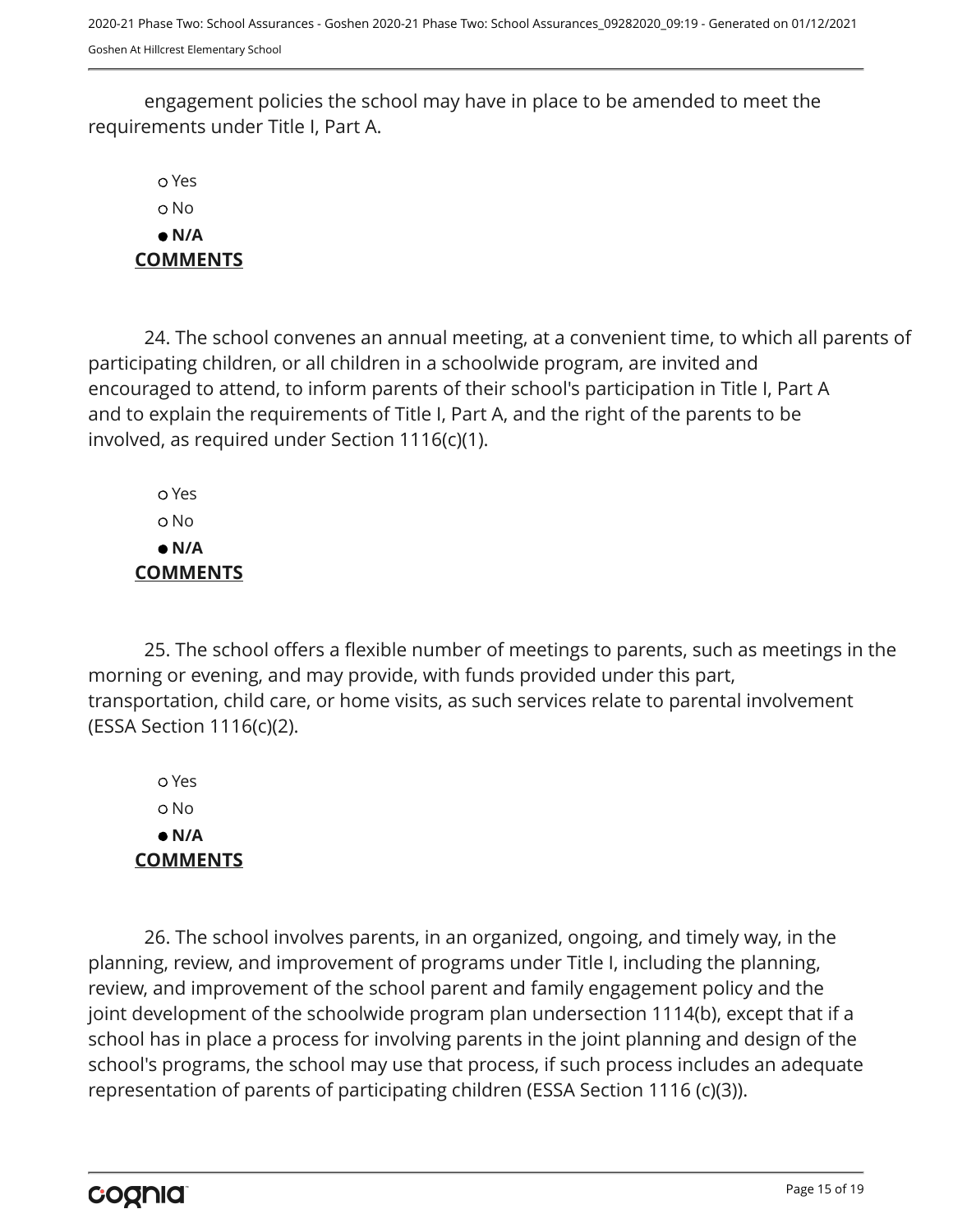engagement policies the school may have in place to be amended to meet the requirements under Title I, Part A.

 Yes No  **N/A COMMENTS**

24. The school convenes an annual meeting, at a convenient time, to which all parents of participating children, or all children in a schoolwide program, are invited and encouraged to attend, to inform parents of their school's participation in Title I, Part A and to explain the requirements of Title I, Part A, and the right of the parents to be involved, as required under Section 1116(c)(1).

 Yes No  **N/A COMMENTS**

25. The school offers a flexible number of meetings to parents, such as meetings in the morning or evening, and may provide, with funds provided under this part, transportation, child care, or home visits, as such services relate to parental involvement (ESSA Section 1116(c)(2).

 Yes No  **N/A COMMENTS**

26. The school involves parents, in an organized, ongoing, and timely way, in the planning, review, and improvement of programs under Title I, including the planning, review, and improvement of the school parent and family engagement policy and the joint development of the schoolwide program plan undersection 1114(b), except that if a school has in place a process for involving parents in the joint planning and design of the school's programs, the school may use that process, if such process includes an adequate representation of parents of participating children (ESSA Section 1116 (c)(3)).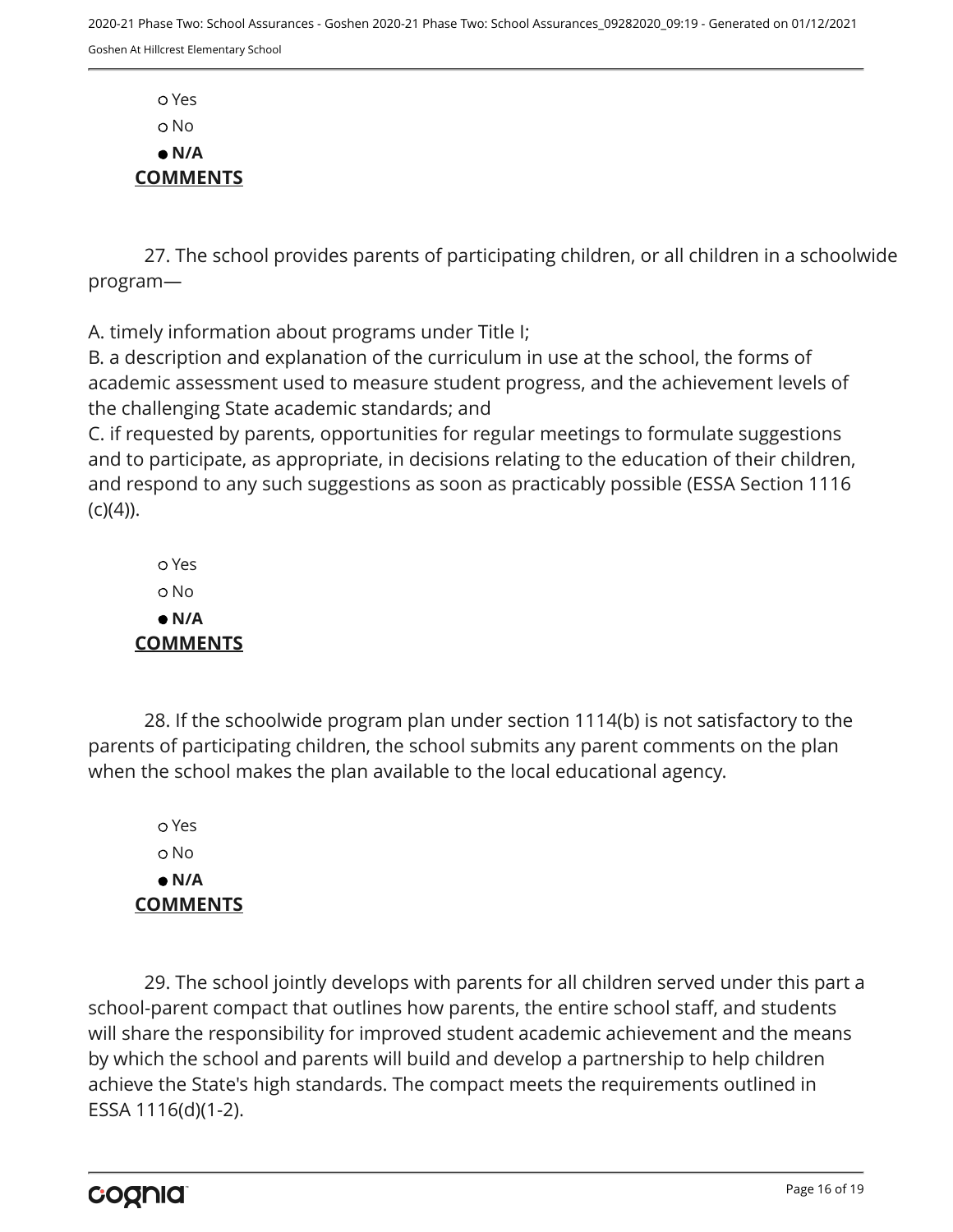Yes o No  **N/A COMMENTS**

27. The school provides parents of participating children, or all children in a schoolwide program—

A. timely information about programs under Title I;

B. a description and explanation of the curriculum in use at the school, the forms of academic assessment used to measure student progress, and the achievement levels of the challenging State academic standards; and

C. if requested by parents, opportunities for regular meetings to formulate suggestions and to participate, as appropriate, in decisions relating to the education of their children, and respond to any such suggestions as soon as practicably possible (ESSA Section 1116  $(C)(4)$ ).

 Yes No  **N/A COMMENTS**

28. If the schoolwide program plan under section 1114(b) is not satisfactory to the parents of participating children, the school submits any parent comments on the plan when the school makes the plan available to the local educational agency.

 Yes o No  **N/A COMMENTS**

29. The school jointly develops with parents for all children served under this part a school-parent compact that outlines how parents, the entire school staff, and students will share the responsibility for improved student academic achievement and the means by which the school and parents will build and develop a partnership to help children achieve the State's high standards. The compact meets the requirements outlined in ESSA 1116(d)(1-2).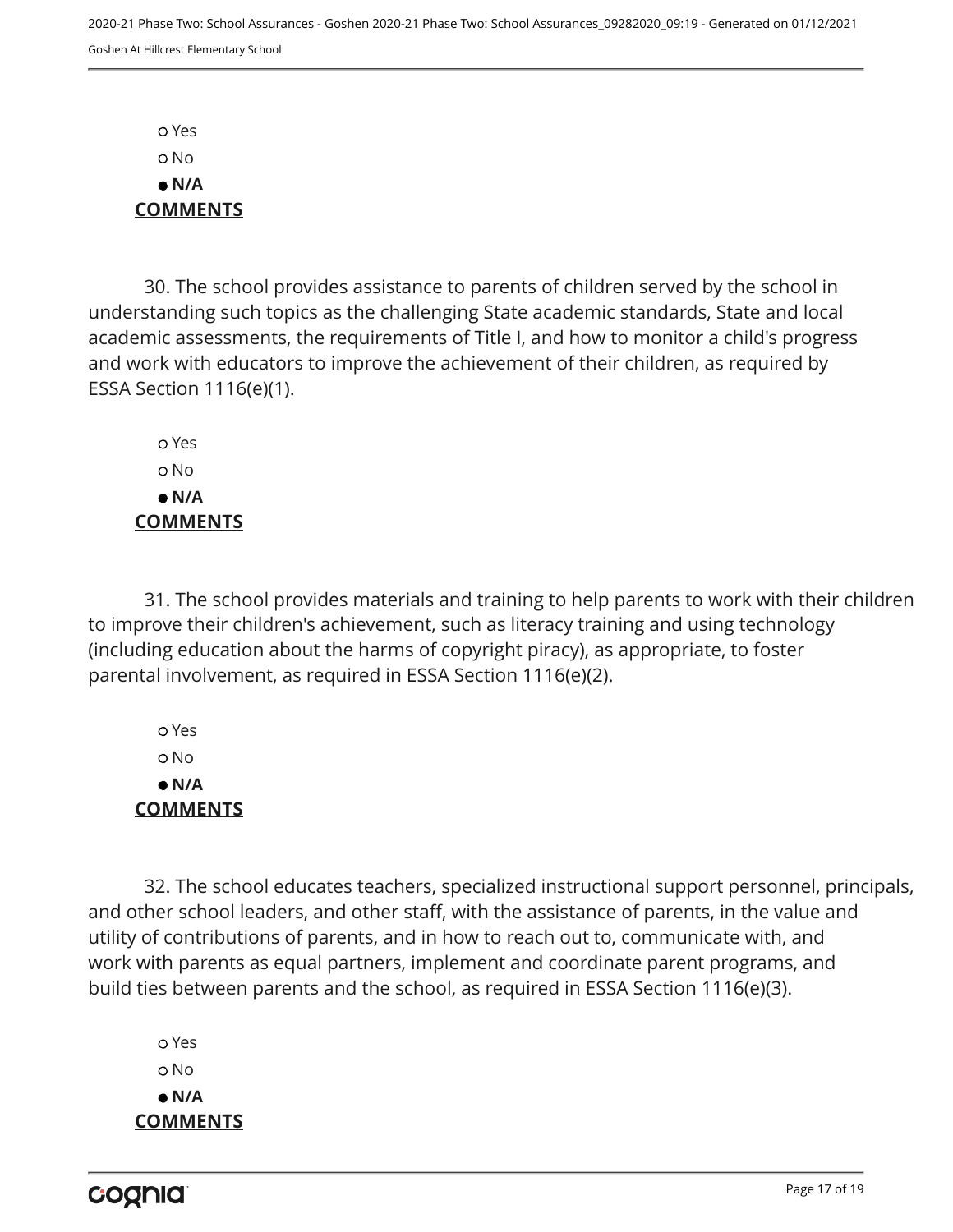Yes No  **N/A COMMENTS**

30. The school provides assistance to parents of children served by the school in understanding such topics as the challenging State academic standards, State and local academic assessments, the requirements of Title I, and how to monitor a child's progress and work with educators to improve the achievement of their children, as required by ESSA Section 1116(e)(1).

 Yes o No  **N/A COMMENTS**

31. The school provides materials and training to help parents to work with their children to improve their children's achievement, such as literacy training and using technology (including education about the harms of copyright piracy), as appropriate, to foster parental involvement, as required in ESSA Section 1116(e)(2).

 Yes No  **N/A COMMENTS**

32. The school educates teachers, specialized instructional support personnel, principals, and other school leaders, and other staff, with the assistance of parents, in the value and utility of contributions of parents, and in how to reach out to, communicate with, and work with parents as equal partners, implement and coordinate parent programs, and build ties between parents and the school, as required in ESSA Section 1116(e)(3).

 Yes o No  **N/A COMMENTS**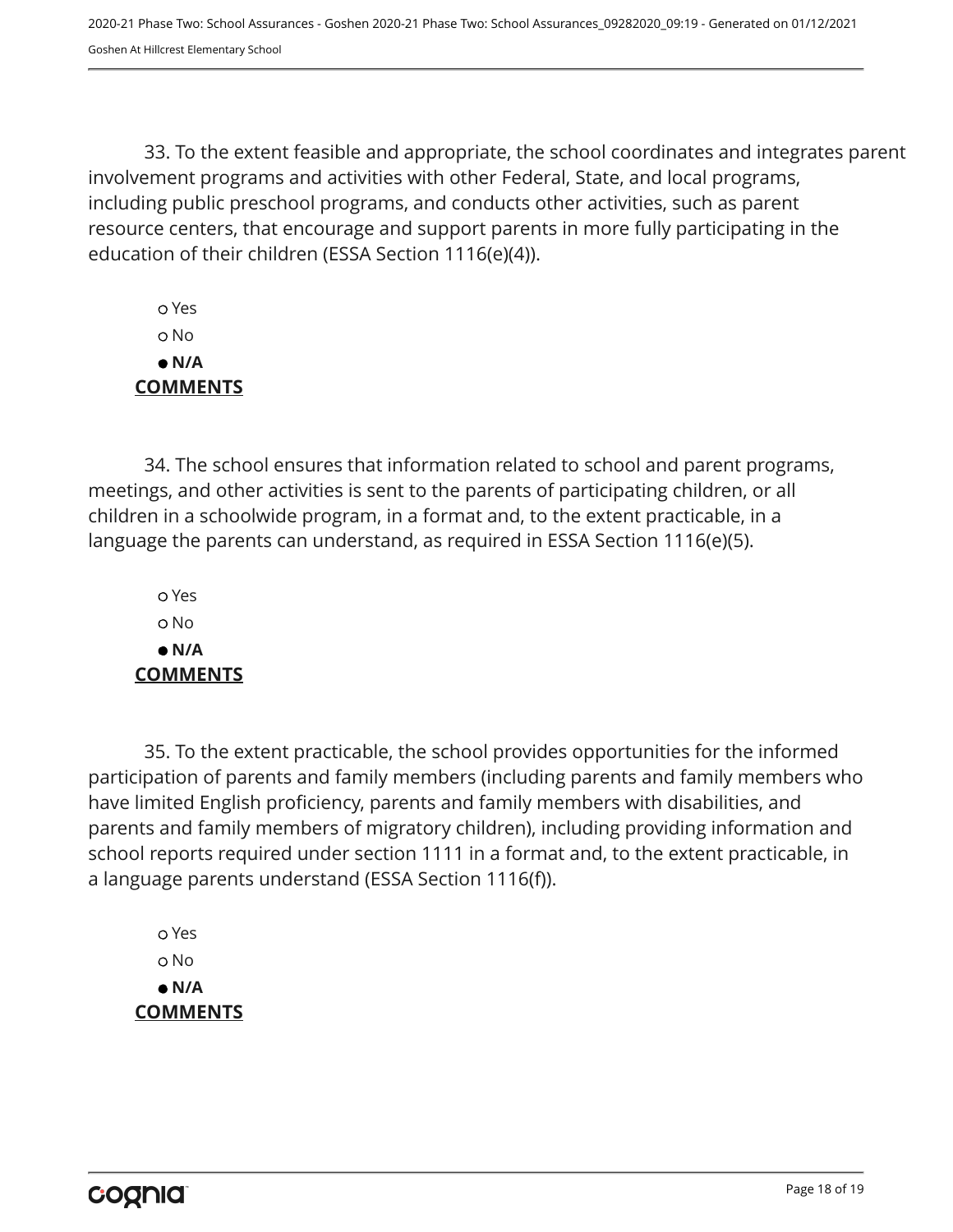33. To the extent feasible and appropriate, the school coordinates and integrates parent involvement programs and activities with other Federal, State, and local programs, including public preschool programs, and conducts other activities, such as parent resource centers, that encourage and support parents in more fully participating in the education of their children (ESSA Section 1116(e)(4)).

 Yes No  **N/A COMMENTS**

34. The school ensures that information related to school and parent programs, meetings, and other activities is sent to the parents of participating children, or all children in a schoolwide program, in a format and, to the extent practicable, in a language the parents can understand, as required in ESSA Section 1116(e)(5).

 Yes o No  **N/A COMMENTS**

35. To the extent practicable, the school provides opportunities for the informed participation of parents and family members (including parents and family members who have limited English proficiency, parents and family members with disabilities, and parents and family members of migratory children), including providing information and school reports required under section 1111 in a format and, to the extent practicable, in a language parents understand (ESSA Section 1116(f)).

 Yes No  **N/A COMMENTS**